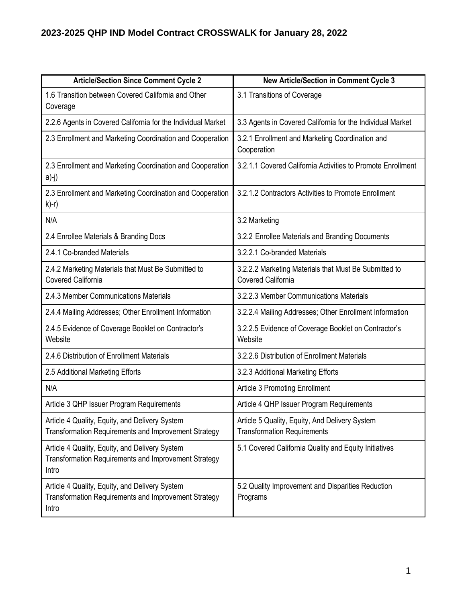## **2023-2025 QHP IND Model Contract CROSSWALK for January 28, 2022**

| <b>Article/Section Since Comment Cycle 2</b>                                                                           | <b>New Article/Section in Comment Cycle 3</b>                                        |
|------------------------------------------------------------------------------------------------------------------------|--------------------------------------------------------------------------------------|
| 1.6 Transition between Covered California and Other<br>Coverage                                                        | 3.1 Transitions of Coverage                                                          |
| 2.2.6 Agents in Covered California for the Individual Market                                                           | 3.3 Agents in Covered California for the Individual Market                           |
| 2.3 Enrollment and Marketing Coordination and Cooperation                                                              | 3.2.1 Enrollment and Marketing Coordination and<br>Cooperation                       |
| 2.3 Enrollment and Marketing Coordination and Cooperation<br>a)-j)                                                     | 3.2.1.1 Covered California Activities to Promote Enrollment                          |
| 2.3 Enrollment and Marketing Coordination and Cooperation<br>$k$ )-r)                                                  | 3.2.1.2 Contractors Activities to Promote Enrollment                                 |
| N/A                                                                                                                    | 3.2 Marketing                                                                        |
| 2.4 Enrollee Materials & Branding Docs                                                                                 | 3.2.2 Enrollee Materials and Branding Documents                                      |
| 2.4.1 Co-branded Materials                                                                                             | 3.2.2.1 Co-branded Materials                                                         |
| 2.4.2 Marketing Materials that Must Be Submitted to<br><b>Covered California</b>                                       | 3.2.2.2 Marketing Materials that Must Be Submitted to<br><b>Covered California</b>   |
| 2.4.3 Member Communications Materials                                                                                  | 3.2.2.3 Member Communications Materials                                              |
| 2.4.4 Mailing Addresses; Other Enrollment Information                                                                  | 3.2.2.4 Mailing Addresses; Other Enrollment Information                              |
| 2.4.5 Evidence of Coverage Booklet on Contractor's<br>Website                                                          | 3.2.2.5 Evidence of Coverage Booklet on Contractor's<br>Website                      |
| 2.4.6 Distribution of Enrollment Materials                                                                             | 3.2.2.6 Distribution of Enrollment Materials                                         |
| 2.5 Additional Marketing Efforts                                                                                       | 3.2.3 Additional Marketing Efforts                                                   |
| N/A                                                                                                                    | <b>Article 3 Promoting Enrollment</b>                                                |
| Article 3 QHP Issuer Program Requirements                                                                              | Article 4 QHP Issuer Program Requirements                                            |
| Article 4 Quality, Equity, and Delivery System<br>Transformation Requirements and Improvement Strategy                 | Article 5 Quality, Equity, And Delivery System<br><b>Transformation Requirements</b> |
| Article 4 Quality, Equity, and Delivery System<br><b>Transformation Requirements and Improvement Strategy</b><br>Intro | 5.1 Covered California Quality and Equity Initiatives                                |
| Article 4 Quality, Equity, and Delivery System<br><b>Transformation Requirements and Improvement Strategy</b><br>Intro | 5.2 Quality Improvement and Disparities Reduction<br>Programs                        |